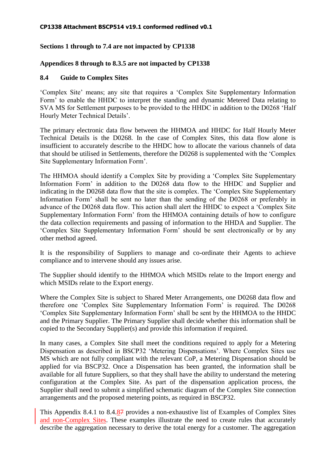# **Sections 1 through to 7.4 are not impacted by CP1338**

## **Appendices 8 through to 8.3.5 are not impacted by CP1338**

## **8.4 Guide to Complex Sites**

'Complex Site' means; any site that requires a 'Complex Site Supplementary Information Form' to enable the HHDC to interpret the standing and dynamic Metered Data relating to SVA MS for Settlement purposes to be provided to the HHDC in addition to the D0268 'Half Hourly Meter Technical Details'.

The primary electronic data flow between the HHMOA and HHDC for Half Hourly Meter Technical Details is the D0268. In the case of Complex Sites, this data flow alone is insufficient to accurately describe to the HHDC how to allocate the various channels of data that should be utilised in Settlements, therefore the D0268 is supplemented with the 'Complex Site Supplementary Information Form'.

The HHMOA should identify a Complex Site by providing a 'Complex Site Supplementary Information Form' in addition to the D0268 data flow to the HHDC and Supplier and indicating in the D0268 data flow that the site is complex. The 'Complex Site Supplementary Information Form' shall be sent no later than the sending of the D0268 or preferably in advance of the D0268 data flow. This action shall alert the HHDC to expect a 'Complex Site Supplementary Information Form' from the HHMOA containing details of how to configure the data collection requirements and passing of information to the HHDA and Supplier. The 'Complex Site Supplementary Information Form' should be sent electronically or by any other method agreed.

It is the responsibility of Suppliers to manage and co-ordinate their Agents to achieve compliance and to intervene should any issues arise.

The Supplier should identify to the HHMOA which MSIDs relate to the Import energy and which MSIDs relate to the Export energy.

Where the Complex Site is subject to Shared Meter Arrangements, one D0268 data flow and therefore one 'Complex Site Supplementary Information Form' is required. The D0268 'Complex Site Supplementary Information Form' shall be sent by the HHMOA to the HHDC and the Primary Supplier. The Primary Supplier shall decide whether this information shall be copied to the Secondary Supplier(s) and provide this information if required.

In many cases, a Complex Site shall meet the conditions required to apply for a Metering Dispensation as described in BSCP32 'Metering Dispensations'. Where Complex Sites use MS which are not fully compliant with the relevant CoP, a Metering Dispensation should be applied for via BSCP32. Once a Dispensation has been granted, the information shall be available for all future Suppliers, so that they shall have the ability to understand the metering configuration at the Complex Site. As part of the dispensation application process, the Supplier shall need to submit a simplified schematic diagram of the Complex Site connection arrangements and the proposed metering points, as required in BSCP32.

This Appendix 8.4.1 to 8.4.87 provides a non-exhaustive list of Examples of Complex Sites and non-Complex Sites. These examples illustrate the need to create rules that accurately describe the aggregation necessary to derive the total energy for a customer. The aggregation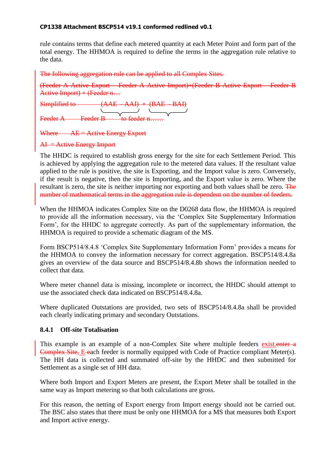rule contains terms that define each metered quantity at each Meter Point and form part of the total energy. The HHMOA is required to define the terms in the aggregation rule relative to the data.

The following aggregation rule can be applied to all Complex Sites.

(Feeder A Active Export – Feeder A Active Import)+(Feeder B Active Export – Feeder B Active Import) + (Feeder  $n...$ 

Simplified to  $(AAE - AAI) + (BAE - BAI)$  $\frac{1}{2}$  Feeder B to feeder n...

Where  $AE =$  Active Energy Export

## $AI =$  Active Energy Import

The HHDC is required to establish gross energy for the site for each Settlement Period. This is achieved by applying the aggregation rule to the metered data values. If the resultant value applied to the rule is positive, the site is Exporting, and the Import value is zero. Conversely, if the result is negative, then the site is Importing, and the Export value is zero. Where the resultant is zero, the site is neither importing nor exporting and both values shall be zero. The number of mathematical terms in the aggregation rule is dependent on the number of feeders.

When the HHMOA indicates Complex Site on the D0268 data flow, the HHMOA is required to provide all the information necessary, via the 'Complex Site Supplementary Information Form', for the HHDC to aggregate correctly. As part of the supplementary information, the HHMOA is required to provide a schematic diagram of the MS.

Form BSCP514/8.4.8 'Complex Site Supplementary Information Form' provides a means for the HHMOA to convey the information necessary for correct aggregation. BSCP514/8.4.8a gives an overview of the data source and BSCP514/8.4.8b shows the information needed to collect that data.

Where meter channel data is missing, incomplete or incorrect, the HHDC should attempt to use the associated check data indicated on BSCP514/8.4.8a.

Where duplicated Outstations are provided, two sets of BSCP514/8.4.8a shall be provided each clearly indicating primary and secondary Outstations.

## **8.4.1 Off-site Totalisation**

This example is an example of a non-Complex Site where multiple feeders existenter a Complex Site, E each feeder is normally equipped with Code of Practice compliant Meter(s). The HH data is collected and summated off-site by the HHDC and then submitted for Settlement as a single set of HH data.

Where both Import and Export Meters are present, the Export Meter shall be totalled in the same way as Import metering so that both calculations are gross.

For this reason, the netting of Export energy from Import energy should not be carried out. The BSC also states that there must be only one HHMOA for a MS that measures both Export and Import active energy.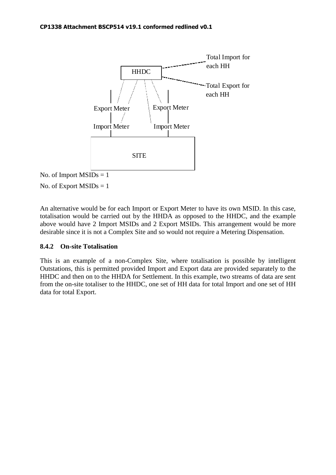

No. of Export  $MSIDs = 1$ 

An alternative would be for each Import or Export Meter to have its own MSID. In this case, totalisation would be carried out by the HHDA as opposed to the HHDC, and the example above would have 2 Import MSIDs and 2 Export MSIDs. This arrangement would be more desirable since it is not a Complex Site and so would not require a Metering Dispensation.

# **8.4.2 On-site Totalisation**

This is an example of a non-Complex Site, where totalisation is possible by intelligent Outstations, this is permitted provided Import and Export data are provided separately to the HHDC and then on to the HHDA for Settlement. In this example, two streams of data are sent from the on-site totaliser to the HHDC, one set of HH data for total Import and one set of HH data for total Export.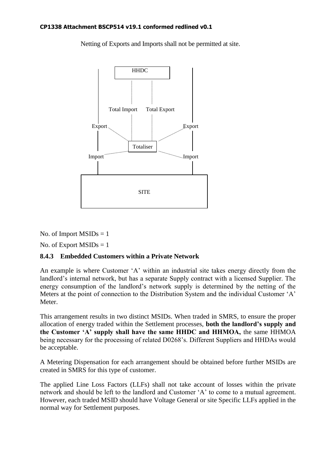Netting of Exports and Imports shall not be permitted at site.



# No. of Import  $MSIDs = 1$

No. of Export  $MSIDs = 1$ 

# **8.4.3 Embedded Customers within a Private Network**

An example is where Customer 'A' within an industrial site takes energy directly from the landlord's internal network, but has a separate Supply contract with a licensed Supplier. The energy consumption of the landlord's network supply is determined by the netting of the Meters at the point of connection to the Distribution System and the individual Customer 'A' Meter.

This arrangement results in two distinct MSIDs. When traded in SMRS, to ensure the proper allocation of energy traded within the Settlement processes, **both the landlord's supply and the Customer 'A' supply shall have the same HHDC and HHMOA,** the same HHMOA being necessary for the processing of related D0268's. Different Suppliers and HHDAs would be acceptable.

A Metering Dispensation for each arrangement should be obtained before further MSIDs are created in SMRS for this type of customer.

The applied Line Loss Factors (LLFs) shall not take account of losses within the private network and should be left to the landlord and Customer 'A' to come to a mutual agreement. However, each traded MSID should have Voltage General or site Specific LLFs applied in the normal way for Settlement purposes.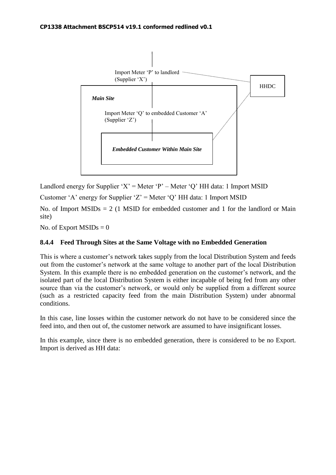

Landlord energy for Supplier 'X' = Meter 'P' – Meter 'Q' HH data: 1 Import MSID

Customer 'A' energy for Supplier 'Z' = Meter 'Q' HH data: 1 Import MSID

No. of Import  $MSIDs = 2$  (1 MSID for embedded customer and 1 for the landlord or Main site)

No. of Export  $MSIDs = 0$ 

# **8.4.4 Feed Through Sites at the Same Voltage with no Embedded Generation**

This is where a customer's network takes supply from the local Distribution System and feeds out from the customer's network at the same voltage to another part of the local Distribution System. In this example there is no embedded generation on the customer's network, and the isolated part of the local Distribution System is either incapable of being fed from any other source than via the customer's network, or would only be supplied from a different source (such as a restricted capacity feed from the main Distribution System) under abnormal conditions.

In this case, line losses within the customer network do not have to be considered since the feed into, and then out of, the customer network are assumed to have insignificant losses.

In this example, since there is no embedded generation, there is considered to be no Export. Import is derived as HH data: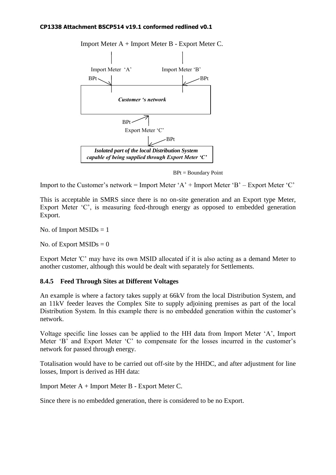

Import Meter A + Import Meter B - Export Meter C.

BPt = Boundary Point

Import to the Customer's network = Import Meter ' $A'$  + Import Meter 'B' – Export Meter 'C'

This is acceptable in SMRS since there is no on-site generation and an Export type Meter, Export Meter 'C', is measuring feed-through energy as opposed to embedded generation Export.

No. of Import  $MSIDs = 1$ 

No. of Export  $MSIDs = 0$ 

Export Meter 'C' may have its own MSID allocated if it is also acting as a demand Meter to another customer, although this would be dealt with separately for Settlements.

# **8.4.5 Feed Through Sites at Different Voltages**

An example is where a factory takes supply at 66kV from the local Distribution System, and an 11kV feeder leaves the Complex Site to supply adjoining premises as part of the local Distribution System. In this example there is no embedded generation within the customer's network.

Voltage specific line losses can be applied to the HH data from Import Meter 'A', Import Meter 'B' and Export Meter 'C' to compensate for the losses incurred in the customer's network for passed through energy.

Totalisation would have to be carried out off-site by the HHDC, and after adjustment for line losses, Import is derived as HH data:

Import Meter A + Import Meter B - Export Meter C.

Since there is no embedded generation, there is considered to be no Export.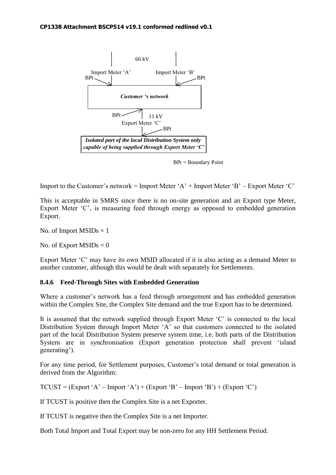

BPt = Boundary Point

Import to the Customer's network = Import Meter 'A' + Import Meter 'B' – Export Meter 'C'

This is acceptable in SMRS since there is no on-site generation and an Export type Meter, Export Meter 'C', is measuring feed through energy as opposed to embedded generation Export.

No. of Import  $MSIDs = 1$ 

No. of Export  $MSIDs = 0$ 

Export Meter 'C' may have its own MSID allocated if it is also acting as a demand Meter to another customer, although this would be dealt with separately for Settlements.

# **8.4.6 Feed-Through Sites with Embedded Generation**

Where a customer's network has a feed through arrangement and has embedded generation within the Complex Site, the Complex Site demand and the true Export has to be determined.

It is assumed that the network supplied through Export Meter 'C' is connected to the local Distribution System through Import Meter 'A' so that customers connected to the isolated part of the local Distribution System preserve system time, i.e. both parts of the Distribution System are in synchronisation (Export generation protection shall prevent 'island generating').

For any time period, for Settlement purposes, Customer's total demand or total generation is derived from the Algorithm:

 $TCUST = (Expert 'A' - Import 'A') + (Expert 'B' - Import 'B') + (Expert 'C')$ 

If TCUST is positive then the Complex Site is a net Exporter.

If TCUST is negative then the Complex Site is a net Importer.

Both Total Import and Total Export may be non-zero for any HH Settlement Period.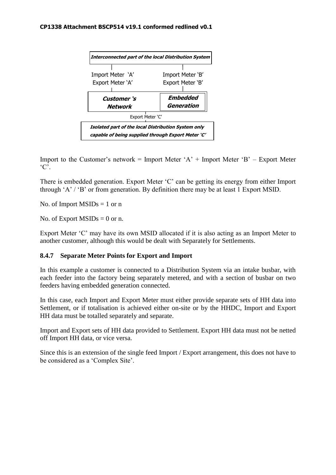

Import to the Customer's network = Import Meter 'A' + Import Meter 'B' – Export Meter  ${}^{\circ}C$ .

There is embedded generation. Export Meter 'C' can be getting its energy from either Import through 'A' / 'B' or from generation. By definition there may be at least 1 Export MSID.

No. of Import  $MSIDs = 1$  or n

No. of Export  $MSIDs = 0$  or n.

Export Meter 'C' may have its own MSID allocated if it is also acting as an Import Meter to another customer, although this would be dealt with Separately for Settlements.

## **8.4.7 Separate Meter Points for Export and Import**

In this example a customer is connected to a Distribution System via an intake busbar, with each feeder into the factory being separately metered, and with a section of busbar on two feeders having embedded generation connected.

In this case, each Import and Export Meter must either provide separate sets of HH data into Settlement, or if totalisation is achieved either on-site or by the HHDC, Import and Export HH data must be totalled separately and separate.

Import and Export sets of HH data provided to Settlement. Export HH data must not be netted off Import HH data, or vice versa.

Since this is an extension of the single feed Import / Export arrangement, this does not have to be considered as a 'Complex Site'.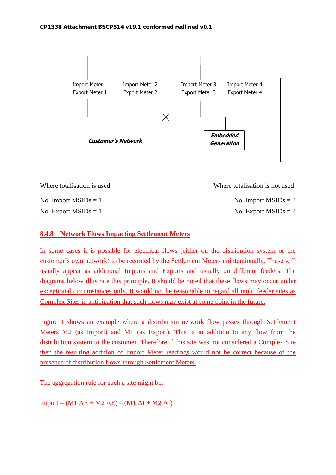

| Where totalisation is used: | Where totalisation is not used: |
|-----------------------------|---------------------------------|
| No. Import $MSIDs = 1$      | No. Import $MSIDs = 4$          |

 $\text{No. Expert MSIDs} = 1$  No. Export  $\text{MSIDs} = 4$ 

# **8.4.8 Network Flows Impacting Settlement Meters**

In some cases it is possible for electrical flows (either on the distribution system or the customer's own network) to be recorded by the Settlement Meters unintentionally. These will usually appear as additional Imports and Exports and usually on different feeders. The diagrams below illustrate this principle. It should be noted that these flows may occur under exceptional circumstances only. It would not be reasonable to regard all multi feeder sites as Complex Sites in anticipation that such flows may exist at some point in the future.

Figure 1 shows an example where a distribution network flow passes through Settlement Meters M2 (as Import) and M1 (as Export). This is in addition to any flow from the distribution system to the customer. Therefore if this site was not considered a Complex Site then the resulting addition of Import Meter readings would not be correct because of the presence of distribution flows through Settlement Meters.

The aggregation rule for such a site might be:

 $Import = (M1 AE + M2 AE) - (M1 AI + M2 AI)$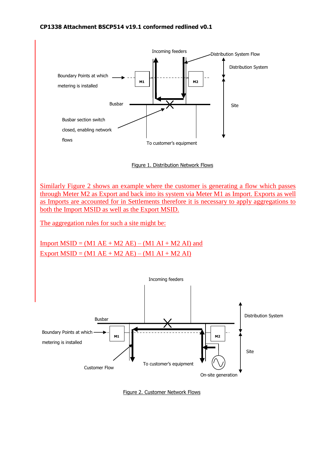

Figure 1. Distribution Network Flows

Similarly Figure 2 shows an example where the customer is generating a flow which passes through Meter M2 as Export and back into its system via Meter M1 as Import. Exports as well as Imports are accounted for in Settlements therefore it is necessary to apply aggregations to both the Import MSID as well as the Export MSID.

The aggregation rules for such a site might be:

Import  $MSID = (M1 AE + M2 AE) - (M1 AI + M2 AI)$  and Export  $MSID = (M1 AE + M2 AE) - (M1 AI + M2 AI)$ 



Figure 2. Customer Network Flows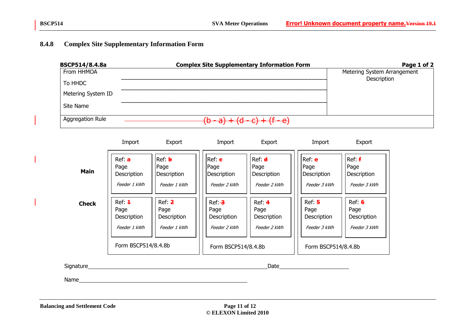# **8.4.8 Complex Site Supplementary Information Form**

| BSCP514/8.4.8a     | <b>Complex Site Supplementary Information Form</b> | Page 1 of 2                 |
|--------------------|----------------------------------------------------|-----------------------------|
| From HHMOA         |                                                    | Metering System Arrangement |
| To HHDC            |                                                    | Description                 |
| Metering System ID |                                                    |                             |
| Site Name          |                                                    |                             |
| Aggregation Rule   | $1/(d - c) + (f - c)$                              |                             |

|              | Import                                                               | Export                                               | Import                                                                         | Export                                        | Import                                                               | Export                                        |
|--------------|----------------------------------------------------------------------|------------------------------------------------------|--------------------------------------------------------------------------------|-----------------------------------------------|----------------------------------------------------------------------|-----------------------------------------------|
| <b>Main</b>  | Ref: <b>a</b><br>Page<br>Description<br>Feeder 1 kWh                 | Ref: <b>b</b><br>Page<br>Description<br>Feeder 1 kWh | $ {\sf Ref:}$ $\boldsymbol{\mathsf{e}}$<br>Page<br>Description<br>Feeder 2 kWh | Ref: d<br>Page<br>Description<br>Feeder 2 kWh | $Ref: e$<br>Page<br>Description<br>Feeder 3 kWh                      | Ref: f<br>Page<br>Description<br>Feeder 3 kWh |
| <b>Check</b> | Ref: 4<br>Page<br>Description<br>Feeder 1 kWh<br>Form BSCP514/8.4.8b | Ref: 2<br>Page<br>Description<br>Feeder 1 kWh        | $Ref: -3$<br>Page<br>Description<br>Feeder 2 kWh<br>Form BSCP514/8.4.8b        | Ref: 4<br>Page<br>Description<br>Feeder 2 kWh | Ref: 5<br>Page<br>Description<br>Feeder 3 kWh<br>Form BSCP514/8.4.8b | Ref: 6<br>Page<br>Description<br>Feeder 3 kWh |

Signature Date Date Date All Contract Contract Contract Contract Contract Contract Contract Contract Contract Contract Contract Contract Contract Contract Contract Contract Contract Contract Contract Contract Contract Cont

Name and the state of the state of the state of the state of the state of the state of the state of the state of the state of the state of the state of the state of the state of the state of the state of the state of the s